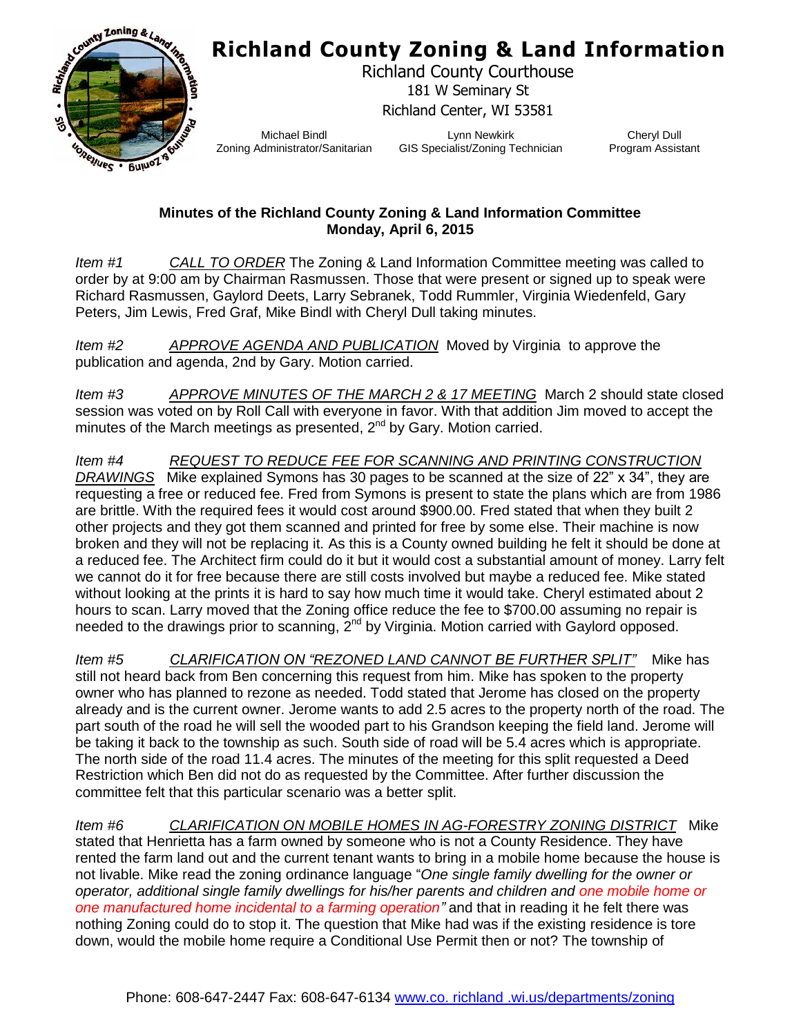## **Richland County Zoning & Land Information**



Richland County Courthouse 181 W Seminary St Richland Center, WI 53581

Michael Bindl Zoning Administrator/Sanitarian

Lynn Newkirk GIS Specialist/Zoning Technician

Cheryl Dull Program Assistant

## **Minutes of the Richland County Zoning & Land Information Committee Monday, April 6, 2015**

*Item #1 CALL TO ORDER* The Zoning & Land Information Committee meeting was called to order by at 9:00 am by Chairman Rasmussen. Those that were present or signed up to speak were Richard Rasmussen, Gaylord Deets, Larry Sebranek, Todd Rummler, Virginia Wiedenfeld, Gary Peters, Jim Lewis, Fred Graf, Mike Bindl with Cheryl Dull taking minutes.

*Item #2 APPROVE AGENDA AND PUBLICATION* Moved by Virginia to approve the publication and agenda, 2nd by Gary. Motion carried.

*Item #3 APPROVE MINUTES OF THE MARCH 2 & 17 MEETING* March 2 should state closed session was voted on by Roll Call with everyone in favor. With that addition Jim moved to accept the minutes of the March meetings as presented,  $2^{nd}$  by Gary. Motion carried.

*Item #4 REQUEST TO REDUCE FEE FOR SCANNING AND PRINTING CONSTRUCTION DRAWINGS* Mike explained Symons has 30 pages to be scanned at the size of 22" x 34", they are requesting a free or reduced fee. Fred from Symons is present to state the plans which are from 1986 are brittle. With the required fees it would cost around \$900.00. Fred stated that when they built 2 other projects and they got them scanned and printed for free by some else. Their machine is now broken and they will not be replacing it. As this is a County owned building he felt it should be done at a reduced fee. The Architect firm could do it but it would cost a substantial amount of money. Larry felt we cannot do it for free because there are still costs involved but maybe a reduced fee. Mike stated without looking at the prints it is hard to say how much time it would take. Cheryl estimated about 2 hours to scan. Larry moved that the Zoning office reduce the fee to \$700.00 assuming no repair is needed to the drawings prior to scanning,  $2^{nd}$  by Virginia. Motion carried with Gaylord opposed.

*Item #5 CLARIFICATION ON "REZONED LAND CANNOT BE FURTHER SPLIT"* Mike has still not heard back from Ben concerning this request from him. Mike has spoken to the property owner who has planned to rezone as needed. Todd stated that Jerome has closed on the property already and is the current owner. Jerome wants to add 2.5 acres to the property north of the road. The part south of the road he will sell the wooded part to his Grandson keeping the field land. Jerome will be taking it back to the township as such. South side of road will be 5.4 acres which is appropriate. The north side of the road 11.4 acres. The minutes of the meeting for this split requested a Deed Restriction which Ben did not do as requested by the Committee. After further discussion the committee felt that this particular scenario was a better split.

*Item #6 CLARIFICATION ON MOBILE HOMES IN AG-FORESTRY ZONING DISTRICT* Mike stated that Henrietta has a farm owned by someone who is not a County Residence. They have rented the farm land out and the current tenant wants to bring in a mobile home because the house is not livable. Mike read the zoning ordinance language "*One single family dwelling for the owner or operator, additional single family dwellings for his/her parents and children and one mobile home or one manufactured home incidental to a farming operation"* and that in reading it he felt there was nothing Zoning could do to stop it. The question that Mike had was if the existing residence is tore down, would the mobile home require a Conditional Use Permit then or not? The township of